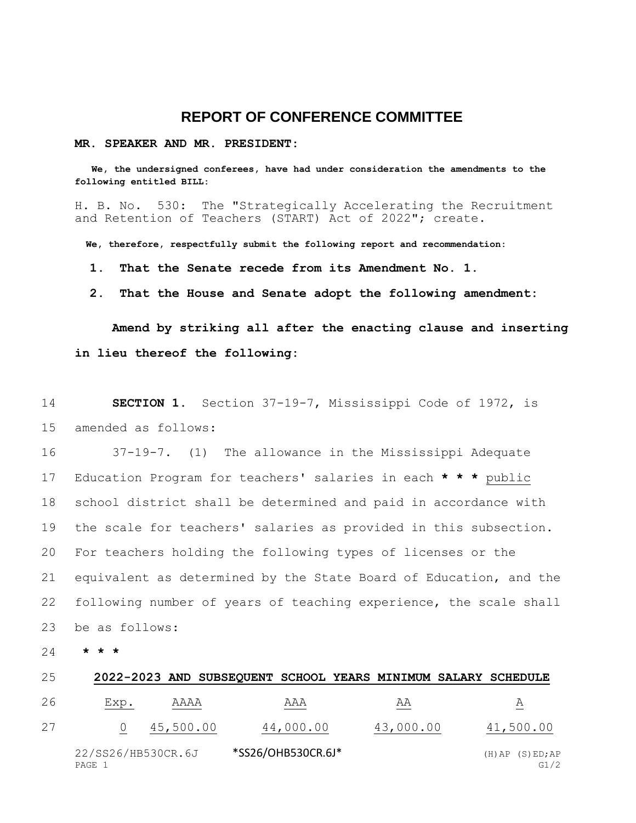## **REPORT OF CONFERENCE COMMITTEE**

## **MR. SPEAKER AND MR. PRESIDENT:**

 **We, the undersigned conferees, have had under consideration the amendments to the following entitled BILL:**

H. B. No. 530: The "Strategically Accelerating the Recruitment and Retention of Teachers (START) Act of 2022"; create.

 **We, therefore, respectfully submit the following report and recommendation:**

 **1. That the Senate recede from its Amendment No. 1.**

 **2. That the House and Senate adopt the following amendment:**

**Amend by striking all after the enacting clause and inserting in lieu thereof the following:**

14 **SECTION 1.** Section 37-19-7, Mississippi Code of 1972, is 15 amended as follows:

 37-19-7. (1) The allowance in the Mississippi Adequate Education Program for teachers' salaries in each **\* \* \*** public school district shall be determined and paid in accordance with the scale for teachers' salaries as provided in this subsection. For teachers holding the following types of licenses or the equivalent as determined by the State Board of Education, and the following number of years of teaching experience, the scale shall be as follows:

24 **\* \* \***

| 25 |                              |           |                    |           | 2022-2023 AND SUBSEQUENT SCHOOL YEARS MINIMUM SALARY SCHEDULE |
|----|------------------------------|-----------|--------------------|-----------|---------------------------------------------------------------|
| 26 | Exp.                         | AAAA      | AAA                | AA        | A                                                             |
| 27 |                              | 45,500.00 | 44,000.00          | 43,000.00 | 41,500.00                                                     |
|    | 22/SS26/HB530CR.6J<br>PAGE 1 |           | *SS26/OHB530CR.6J* |           | $(H)$ AP $(S)$ ED; AP<br>G1/2                                 |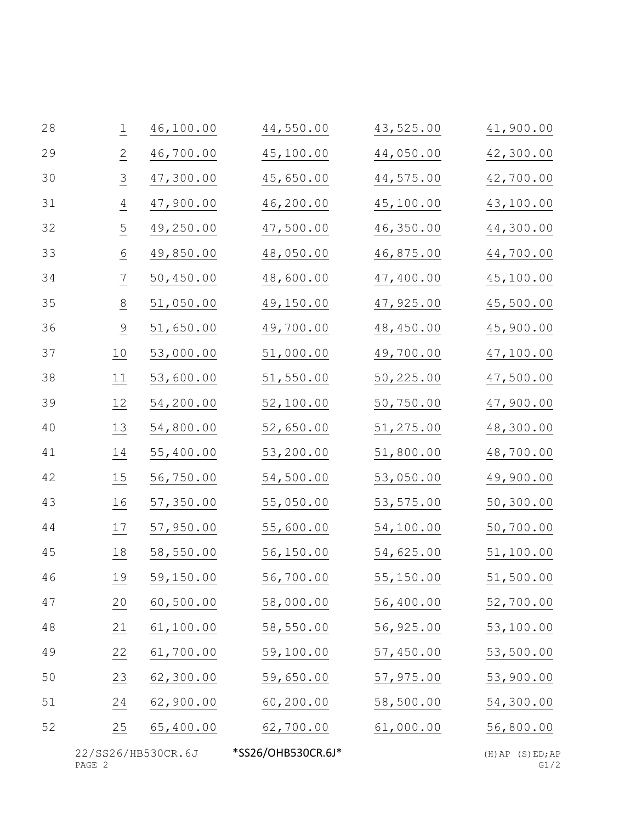| 28 | $\overline{\perp}$ | 46,100.00  | 44,550.00  | 43,525.00  | 41,900.00 |
|----|--------------------|------------|------------|------------|-----------|
| 29 | $\overline{2}$     | 46,700.00  | 45,100.00  | 44,050.00  | 42,300.00 |
| 30 | $\overline{3}$     | 47,300.00  | 45,650.00  | 44,575.00  | 42,700.00 |
| 31 | $\frac{4}{1}$      | 47,900.00  | 46,200.00  | 45,100.00  | 43,100.00 |
| 32 | $\overline{5}$     | 49,250.00  | 47,500.00  | 46,350.00  | 44,300.00 |
| 33 | $\underline{6}$    | 49,850.00  | 48,050.00  | 46,875.00  | 44,700.00 |
| 34 | $\overline{1}$     | 50,450.00  | 48,600.00  | 47,400.00  | 45,100.00 |
| 35 | $\frac{8}{1}$      | 51,050.00  | 49,150.00  | 47,925.00  | 45,500.00 |
| 36 | $\frac{9}{1}$      | 51,650.00  | 49,700.00  | 48,450.00  | 45,900.00 |
| 37 | $\underline{10}$   | 53,000.00  | 51,000.00  | 49,700.00  | 47,100.00 |
| 38 | 11                 | 53,600.00  | 51,550.00  | 50,225.00  | 47,500.00 |
| 39 | 12                 | 54,200.00  | 52,100.00  | 50,750.00  | 47,900.00 |
| 40 | 13                 | 54,800.00  | 52,650.00  | 51,275.00  | 48,300.00 |
| 41 | 14                 | 55,400.00  | 53,200.00  | 51,800.00  | 48,700.00 |
| 42 | $\underline{15}$   | 56,750.00  | 54,500.00  | 53,050.00  | 49,900.00 |
| 43 | $\underline{16}$   | 57,350.00  | 55,050.00  | 53, 575.00 | 50,300.00 |
| 44 | 17                 | 57,950.00  | 55,600.00  | 54,100.00  | 50,700.00 |
| 45 | 18                 | 58,550.00  | 56,150.00  | 54,625.00  | 51,100.00 |
| 46 | 19                 | 59,150.00  | 56,700.00  | 55,150.00  | 51,500.00 |
| 47 | 20                 | 60, 500.00 | 58,000.00  | 56,400.00  | 52,700.00 |
| 48 | 21                 | 61,100.00  | 58,550.00  | 56,925.00  | 53,100.00 |
| 49 | 22                 | 61,700.00  | 59,100.00  | 57,450.00  | 53,500.00 |
| 50 | 23                 | 62,300.00  | 59,650.00  | 57,975.00  | 53,900.00 |
| 51 | 24                 | 62,900.00  | 60, 200.00 | 58,500.00  | 54,300.00 |
| 52 | 25                 | 65,400.00  | 62,700.00  | 61,000.00  | 56,800.00 |

22/SS26/HB530CR.6J \*SS26/OHB530CR.6J\* (H)AP (S)ED;AP<br>PAGE 2 G1/2 PAGE 2 G1/2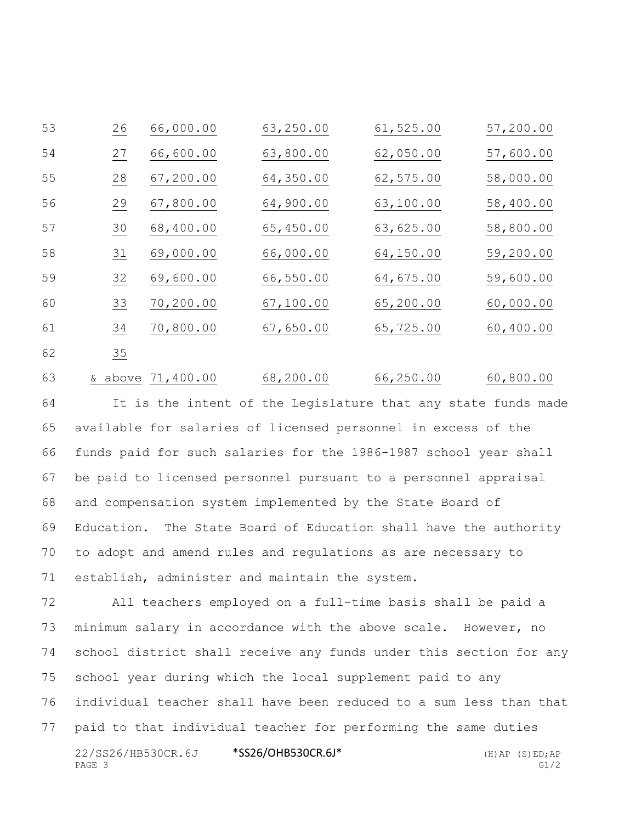| 53 | 26 | 66,000.00 | 63,250.00  | 61, 525.00 | 57,200.00 |
|----|----|-----------|------------|------------|-----------|
| 54 | 27 | 66,600.00 | 63,800.00  | 62,050.00  | 57,600.00 |
| 55 | 28 | 67,200.00 | 64,350.00  | 62,575.00  | 58,000.00 |
| 56 | 29 | 67,800.00 | 64,900.00  | 63,100.00  | 58,400.00 |
| 57 | 30 | 68,400.00 | 65,450.00  | 63,625.00  | 58,800.00 |
| 58 | 31 | 69,000.00 | 66,000.00  | 64,150.00  | 59,200.00 |
| 59 | 32 | 69,600.00 | 66,550.00  | 64,675.00  | 59,600.00 |
| 60 | 33 | 70,200.00 | 67, 100.00 | 65,200.00  | 60,000.00 |
| 61 | 34 | 70,800.00 | 67,650.00  | 65,725.00  | 60,400.00 |
| 62 | 35 |           |            |            |           |

& above 71,400.00 68,200.00 66,250.00 60,800.00

 It is the intent of the Legislature that any state funds made available for salaries of licensed personnel in excess of the funds paid for such salaries for the 1986-1987 school year shall be paid to licensed personnel pursuant to a personnel appraisal and compensation system implemented by the State Board of Education. The State Board of Education shall have the authority to adopt and amend rules and regulations as are necessary to establish, administer and maintain the system.

22/SS26/HB530CR.6J \*SS26/OHB530CR.6J\* (H)AP (S)ED;AP PAGE 3 G1/2 All teachers employed on a full-time basis shall be paid a minimum salary in accordance with the above scale. However, no school district shall receive any funds under this section for any school year during which the local supplement paid to any individual teacher shall have been reduced to a sum less than that paid to that individual teacher for performing the same duties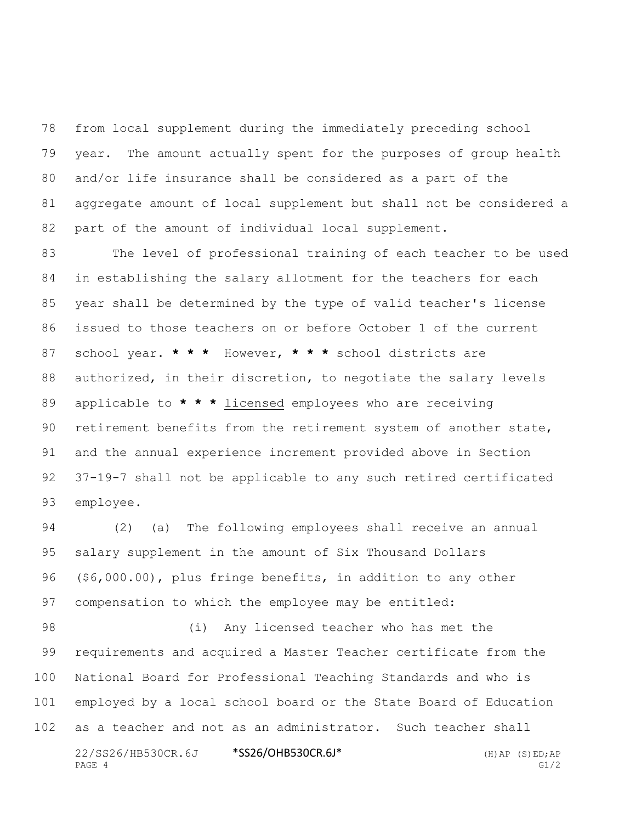from local supplement during the immediately preceding school year. The amount actually spent for the purposes of group health and/or life insurance shall be considered as a part of the aggregate amount of local supplement but shall not be considered a part of the amount of individual local supplement.

 The level of professional training of each teacher to be used in establishing the salary allotment for the teachers for each year shall be determined by the type of valid teacher's license issued to those teachers on or before October 1 of the current school year. **\* \* \*** However, **\* \* \*** school districts are authorized, in their discretion, to negotiate the salary levels applicable to **\* \* \*** licensed employees who are receiving retirement benefits from the retirement system of another state, and the annual experience increment provided above in Section 37-19-7 shall not be applicable to any such retired certificated employee.

 (2) (a) The following employees shall receive an annual salary supplement in the amount of Six Thousand Dollars (\$6,000.00), plus fringe benefits, in addition to any other compensation to which the employee may be entitled:

22/SS26/HB530CR.6J \*SS26/OHB530CR.6J\* (H)AP (S)ED;AP (i) Any licensed teacher who has met the requirements and acquired a Master Teacher certificate from the National Board for Professional Teaching Standards and who is employed by a local school board or the State Board of Education as a teacher and not as an administrator. Such teacher shall

```
PAGE 4 G1/2
```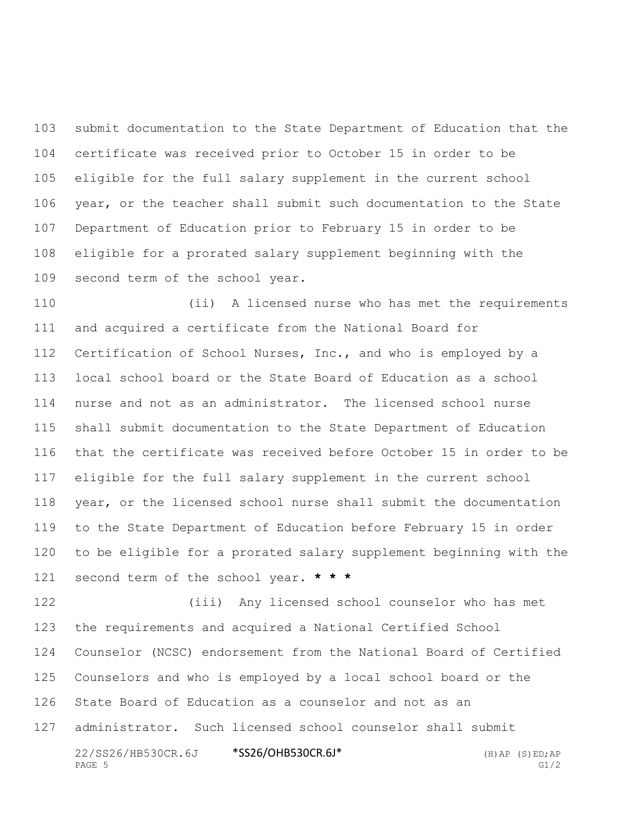submit documentation to the State Department of Education that the certificate was received prior to October 15 in order to be eligible for the full salary supplement in the current school year, or the teacher shall submit such documentation to the State Department of Education prior to February 15 in order to be eligible for a prorated salary supplement beginning with the second term of the school year.

 (ii) A licensed nurse who has met the requirements and acquired a certificate from the National Board for Certification of School Nurses, Inc., and who is employed by a local school board or the State Board of Education as a school nurse and not as an administrator. The licensed school nurse shall submit documentation to the State Department of Education that the certificate was received before October 15 in order to be eligible for the full salary supplement in the current school year, or the licensed school nurse shall submit the documentation to the State Department of Education before February 15 in order to be eligible for a prorated salary supplement beginning with the second term of the school year. **\* \* \***

22/SS26/HB530CR.6J \*SS26/OHB530CR.6J\* (H)AP (S)ED;AP (iii) Any licensed school counselor who has met the requirements and acquired a National Certified School Counselor (NCSC) endorsement from the National Board of Certified Counselors and who is employed by a local school board or the State Board of Education as a counselor and not as an administrator. Such licensed school counselor shall submit

PAGE 5 G1/2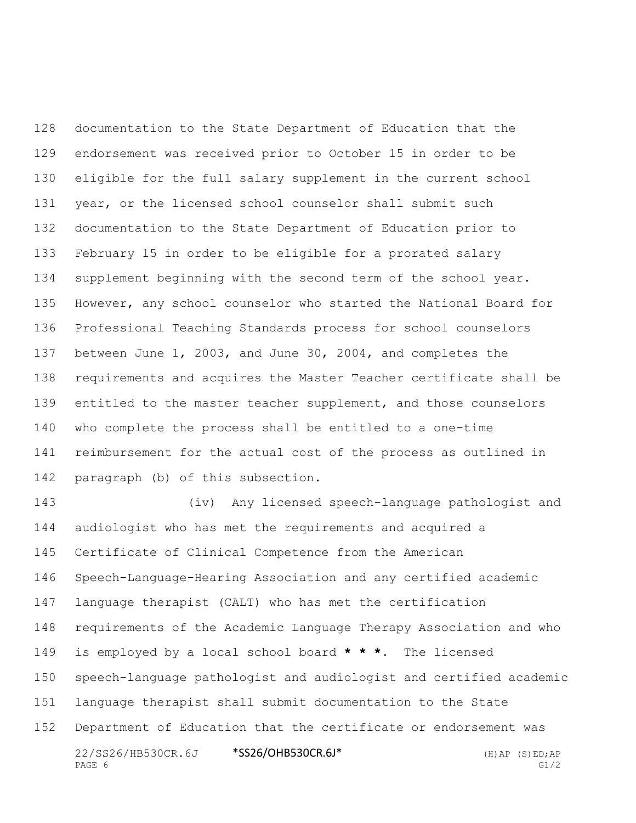documentation to the State Department of Education that the endorsement was received prior to October 15 in order to be eligible for the full salary supplement in the current school year, or the licensed school counselor shall submit such documentation to the State Department of Education prior to February 15 in order to be eligible for a prorated salary supplement beginning with the second term of the school year. However, any school counselor who started the National Board for Professional Teaching Standards process for school counselors between June 1, 2003, and June 30, 2004, and completes the requirements and acquires the Master Teacher certificate shall be entitled to the master teacher supplement, and those counselors who complete the process shall be entitled to a one-time reimbursement for the actual cost of the process as outlined in paragraph (b) of this subsection.

22/SS26/HB530CR.6J \*SS26/OHB530CR.6J\* (H)AP (S)ED;AP PAGE 6 G1/2 (iv) Any licensed speech-language pathologist and audiologist who has met the requirements and acquired a Certificate of Clinical Competence from the American Speech-Language-Hearing Association and any certified academic language therapist (CALT) who has met the certification requirements of the Academic Language Therapy Association and who is employed by a local school board **\* \* \***. The licensed speech-language pathologist and audiologist and certified academic language therapist shall submit documentation to the State Department of Education that the certificate or endorsement was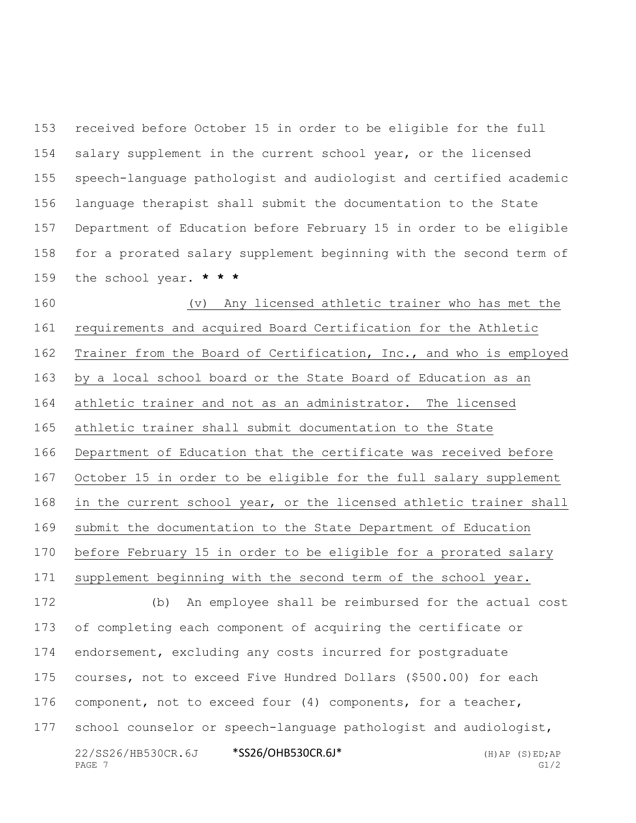received before October 15 in order to be eligible for the full salary supplement in the current school year, or the licensed speech-language pathologist and audiologist and certified academic language therapist shall submit the documentation to the State Department of Education before February 15 in order to be eligible for a prorated salary supplement beginning with the second term of the school year. **\* \* \***

22/SS26/HB530CR.6J \*SS26/OHB530CR.6J\* (H)AP (S)ED;AP PAGE  $7$  G1/2 (v) Any licensed athletic trainer who has met the requirements and acquired Board Certification for the Athletic Trainer from the Board of Certification, Inc., and who is employed by a local school board or the State Board of Education as an athletic trainer and not as an administrator. The licensed athletic trainer shall submit documentation to the State Department of Education that the certificate was received before October 15 in order to be eligible for the full salary supplement in the current school year, or the licensed athletic trainer shall submit the documentation to the State Department of Education before February 15 in order to be eligible for a prorated salary supplement beginning with the second term of the school year. (b) An employee shall be reimbursed for the actual cost of completing each component of acquiring the certificate or endorsement, excluding any costs incurred for postgraduate courses, not to exceed Five Hundred Dollars (\$500.00) for each component, not to exceed four (4) components, for a teacher, school counselor or speech-language pathologist and audiologist,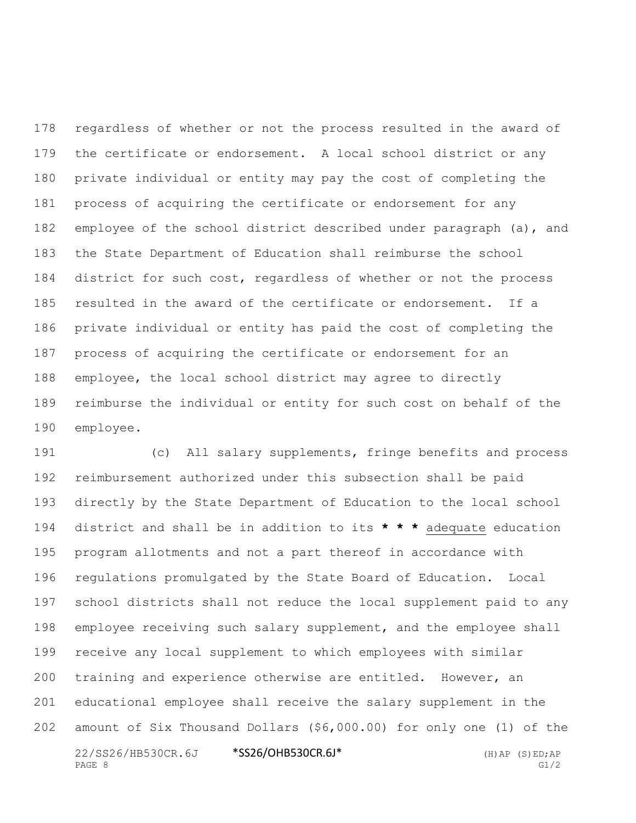regardless of whether or not the process resulted in the award of the certificate or endorsement. A local school district or any private individual or entity may pay the cost of completing the process of acquiring the certificate or endorsement for any employee of the school district described under paragraph (a), and the State Department of Education shall reimburse the school 184 district for such cost, regardless of whether or not the process resulted in the award of the certificate or endorsement. If a private individual or entity has paid the cost of completing the process of acquiring the certificate or endorsement for an employee, the local school district may agree to directly reimburse the individual or entity for such cost on behalf of the employee.

22/SS26/HB530CR.6J \*SS26/OHB530CR.6J\* (H)AP (S)ED;AP PAGE 8 G1/2 (c) All salary supplements, fringe benefits and process reimbursement authorized under this subsection shall be paid directly by the State Department of Education to the local school district and shall be in addition to its **\* \* \*** adequate education program allotments and not a part thereof in accordance with regulations promulgated by the State Board of Education. Local school districts shall not reduce the local supplement paid to any employee receiving such salary supplement, and the employee shall receive any local supplement to which employees with similar training and experience otherwise are entitled. However, an educational employee shall receive the salary supplement in the amount of Six Thousand Dollars (\$6,000.00) for only one (1) of the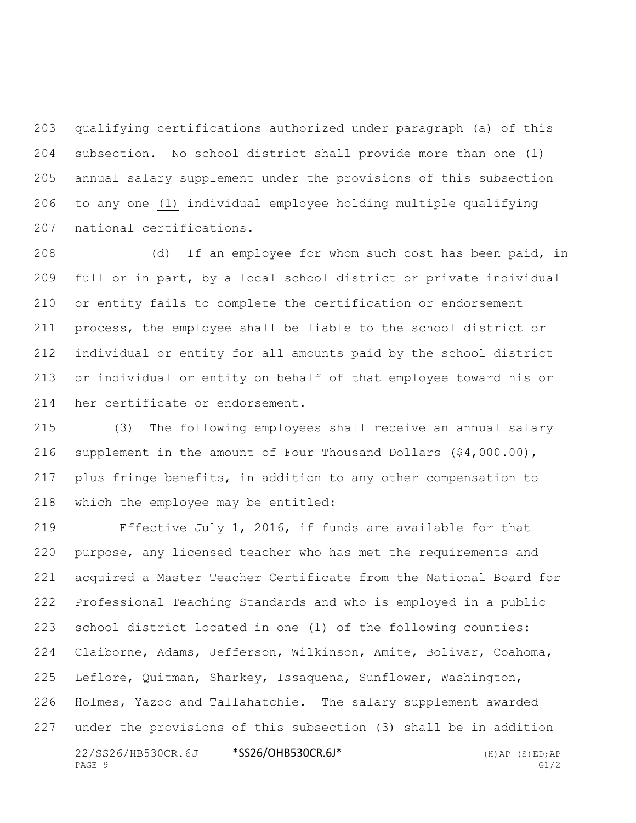qualifying certifications authorized under paragraph (a) of this subsection. No school district shall provide more than one (1) annual salary supplement under the provisions of this subsection to any one (1) individual employee holding multiple qualifying national certifications.

 (d) If an employee for whom such cost has been paid, in full or in part, by a local school district or private individual or entity fails to complete the certification or endorsement process, the employee shall be liable to the school district or individual or entity for all amounts paid by the school district or individual or entity on behalf of that employee toward his or her certificate or endorsement.

 (3) The following employees shall receive an annual salary supplement in the amount of Four Thousand Dollars (\$4,000.00), plus fringe benefits, in addition to any other compensation to which the employee may be entitled:

22/SS26/HB530CR.6J \*SS26/OHB530CR.6J\* (H)AP (S)ED;AP Effective July 1, 2016, if funds are available for that purpose, any licensed teacher who has met the requirements and acquired a Master Teacher Certificate from the National Board for Professional Teaching Standards and who is employed in a public school district located in one (1) of the following counties: Claiborne, Adams, Jefferson, Wilkinson, Amite, Bolivar, Coahoma, Leflore, Quitman, Sharkey, Issaquena, Sunflower, Washington, Holmes, Yazoo and Tallahatchie. The salary supplement awarded under the provisions of this subsection (3) shall be in addition

```
PAGE 9 G1/2
```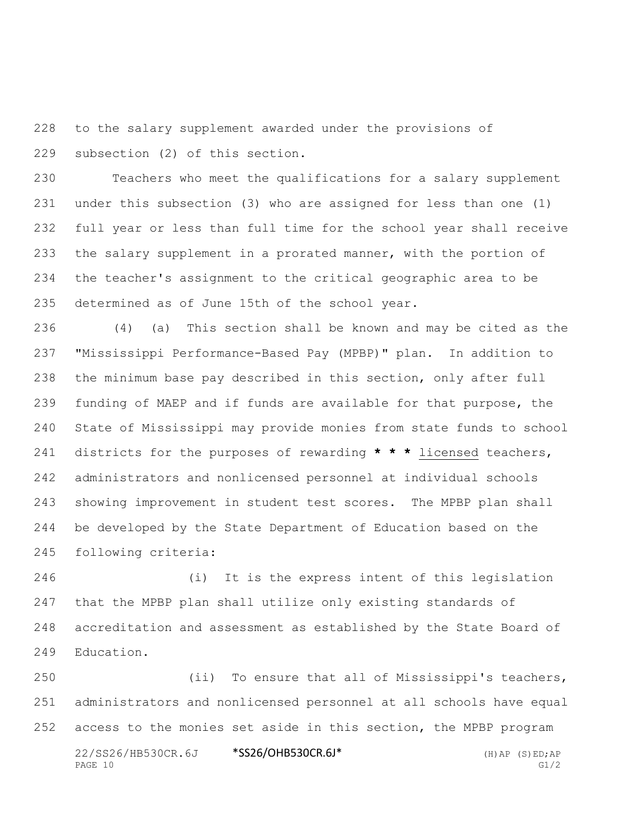to the salary supplement awarded under the provisions of subsection (2) of this section.

 Teachers who meet the qualifications for a salary supplement under this subsection (3) who are assigned for less than one (1) full year or less than full time for the school year shall receive 233 the salary supplement in a prorated manner, with the portion of the teacher's assignment to the critical geographic area to be determined as of June 15th of the school year.

 (4) (a) This section shall be known and may be cited as the "Mississippi Performance-Based Pay (MPBP)" plan. In addition to the minimum base pay described in this section, only after full funding of MAEP and if funds are available for that purpose, the State of Mississippi may provide monies from state funds to school districts for the purposes of rewarding **\* \* \*** licensed teachers, administrators and nonlicensed personnel at individual schools showing improvement in student test scores. The MPBP plan shall be developed by the State Department of Education based on the following criteria:

 (i) It is the express intent of this legislation that the MPBP plan shall utilize only existing standards of accreditation and assessment as established by the State Board of Education.

22/SS26/HB530CR.6J \*SS26/OHB530CR.6J\* (H)AP (S)ED;AP PAGE  $10$  G1/2 (ii) To ensure that all of Mississippi's teachers, administrators and nonlicensed personnel at all schools have equal access to the monies set aside in this section, the MPBP program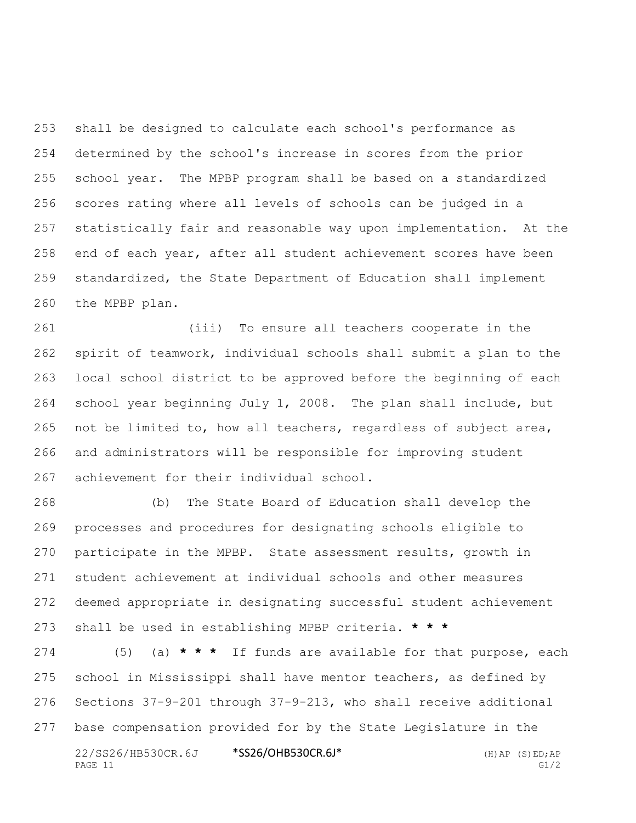shall be designed to calculate each school's performance as determined by the school's increase in scores from the prior school year. The MPBP program shall be based on a standardized scores rating where all levels of schools can be judged in a statistically fair and reasonable way upon implementation. At the end of each year, after all student achievement scores have been standardized, the State Department of Education shall implement the MPBP plan.

 (iii) To ensure all teachers cooperate in the spirit of teamwork, individual schools shall submit a plan to the local school district to be approved before the beginning of each school year beginning July 1, 2008. The plan shall include, but not be limited to, how all teachers, regardless of subject area, and administrators will be responsible for improving student achievement for their individual school.

 (b) The State Board of Education shall develop the processes and procedures for designating schools eligible to participate in the MPBP. State assessment results, growth in student achievement at individual schools and other measures deemed appropriate in designating successful student achievement shall be used in establishing MPBP criteria. **\* \* \***

22/SS26/HB530CR.6J \*SS26/OHB530CR.6J\* (H)AP (S)ED;AP (5) (a) **\* \* \*** If funds are available for that purpose, each school in Mississippi shall have mentor teachers, as defined by Sections 37-9-201 through 37-9-213, who shall receive additional base compensation provided for by the State Legislature in the

PAGE 11 G1/2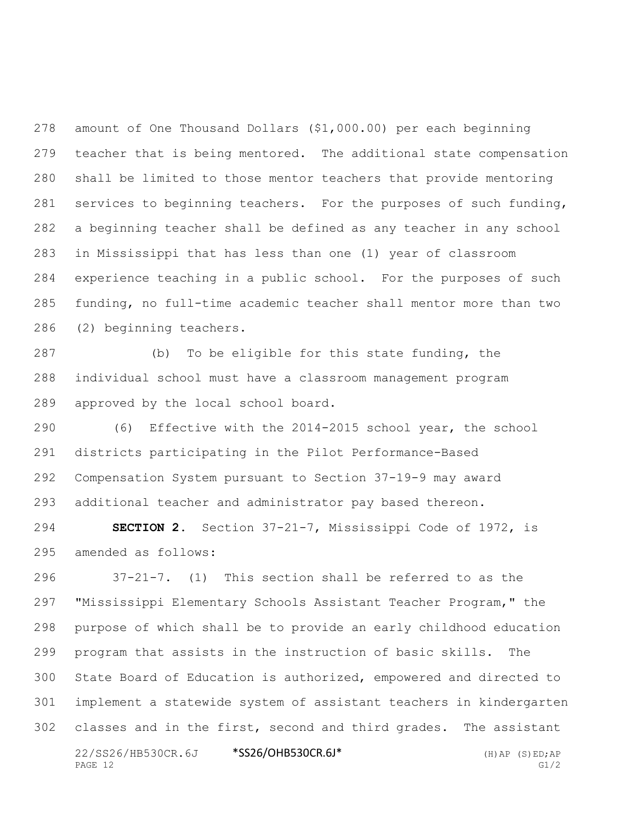amount of One Thousand Dollars (\$1,000.00) per each beginning teacher that is being mentored. The additional state compensation shall be limited to those mentor teachers that provide mentoring 281 services to beginning teachers. For the purposes of such funding, a beginning teacher shall be defined as any teacher in any school in Mississippi that has less than one (1) year of classroom experience teaching in a public school. For the purposes of such funding, no full-time academic teacher shall mentor more than two (2) beginning teachers.

 (b) To be eligible for this state funding, the individual school must have a classroom management program approved by the local school board.

 (6) Effective with the 2014-2015 school year, the school districts participating in the Pilot Performance-Based Compensation System pursuant to Section 37-19-9 may award additional teacher and administrator pay based thereon.

 **SECTION 2.** Section 37-21-7, Mississippi Code of 1972, is amended as follows:

22/SS26/HB530CR.6J \*SS26/OHB530CR.6J\* (H)AP (S)ED;AP 37-21-7. (1) This section shall be referred to as the "Mississippi Elementary Schools Assistant Teacher Program," the purpose of which shall be to provide an early childhood education program that assists in the instruction of basic skills. The State Board of Education is authorized, empowered and directed to implement a statewide system of assistant teachers in kindergarten classes and in the first, second and third grades. The assistant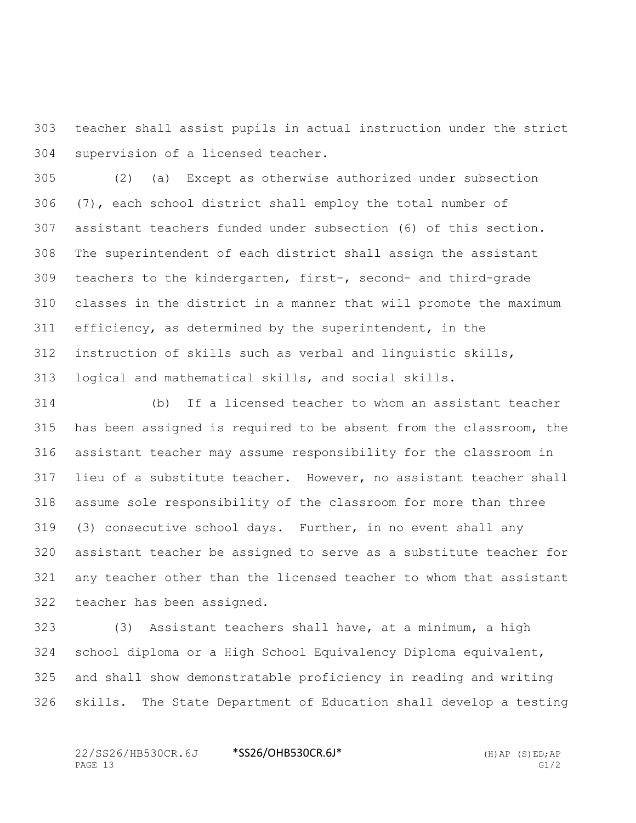teacher shall assist pupils in actual instruction under the strict supervision of a licensed teacher.

 (2) (a) Except as otherwise authorized under subsection (7), each school district shall employ the total number of assistant teachers funded under subsection (6) of this section. The superintendent of each district shall assign the assistant teachers to the kindergarten, first-, second- and third-grade classes in the district in a manner that will promote the maximum efficiency, as determined by the superintendent, in the instruction of skills such as verbal and linguistic skills, logical and mathematical skills, and social skills.

 (b) If a licensed teacher to whom an assistant teacher has been assigned is required to be absent from the classroom, the assistant teacher may assume responsibility for the classroom in lieu of a substitute teacher. However, no assistant teacher shall assume sole responsibility of the classroom for more than three (3) consecutive school days. Further, in no event shall any assistant teacher be assigned to serve as a substitute teacher for any teacher other than the licensed teacher to whom that assistant teacher has been assigned.

 (3) Assistant teachers shall have, at a minimum, a high school diploma or a High School Equivalency Diploma equivalent, and shall show demonstratable proficiency in reading and writing skills. The State Department of Education shall develop a testing

22/SS26/HB530CR.6J \*SS26/OHB530CR.6J\* (H)AP (S)ED;AP PAGE 13 G1/2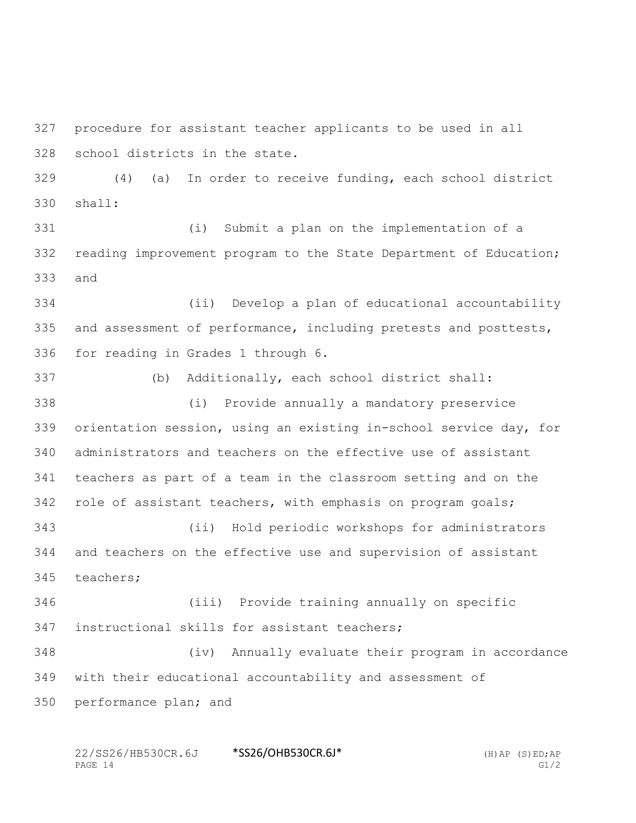procedure for assistant teacher applicants to be used in all school districts in the state.

 (4) (a) In order to receive funding, each school district shall:

 (i) Submit a plan on the implementation of a reading improvement program to the State Department of Education; and

 (ii) Develop a plan of educational accountability and assessment of performance, including pretests and posttests, for reading in Grades 1 through 6.

(b) Additionally, each school district shall:

 (i) Provide annually a mandatory preservice orientation session, using an existing in-school service day, for administrators and teachers on the effective use of assistant teachers as part of a team in the classroom setting and on the role of assistant teachers, with emphasis on program goals; (ii) Hold periodic workshops for administrators and teachers on the effective use and supervision of assistant teachers;

 (iii) Provide training annually on specific instructional skills for assistant teachers;

 (iv) Annually evaluate their program in accordance with their educational accountability and assessment of performance plan; and

22/SS26/HB530CR.6J \*SS26/OHB530CR.6J\* (H)AP (S)ED;AP PAGE  $14$  G1/2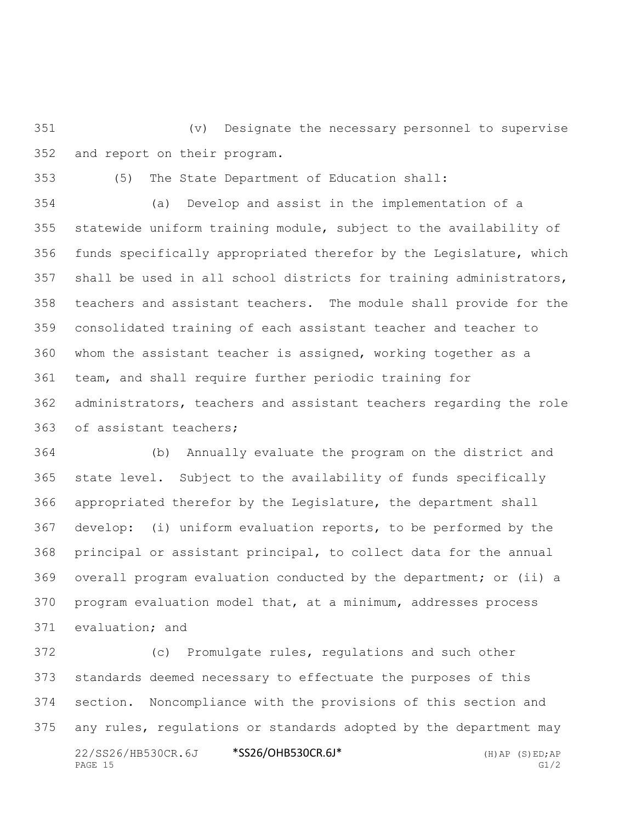(v) Designate the necessary personnel to supervise and report on their program.

(5) The State Department of Education shall:

 (a) Develop and assist in the implementation of a statewide uniform training module, subject to the availability of funds specifically appropriated therefor by the Legislature, which shall be used in all school districts for training administrators, teachers and assistant teachers. The module shall provide for the consolidated training of each assistant teacher and teacher to whom the assistant teacher is assigned, working together as a team, and shall require further periodic training for administrators, teachers and assistant teachers regarding the role of assistant teachers;

 (b) Annually evaluate the program on the district and state level. Subject to the availability of funds specifically appropriated therefor by the Legislature, the department shall develop: (i) uniform evaluation reports, to be performed by the principal or assistant principal, to collect data for the annual overall program evaluation conducted by the department; or (ii) a program evaluation model that, at a minimum, addresses process evaluation; and

22/SS26/HB530CR.6J \*SS26/OHB530CR.6J\* (H)AP (S)ED;AP PAGE 15 G1/2 (c) Promulgate rules, regulations and such other standards deemed necessary to effectuate the purposes of this section. Noncompliance with the provisions of this section and any rules, regulations or standards adopted by the department may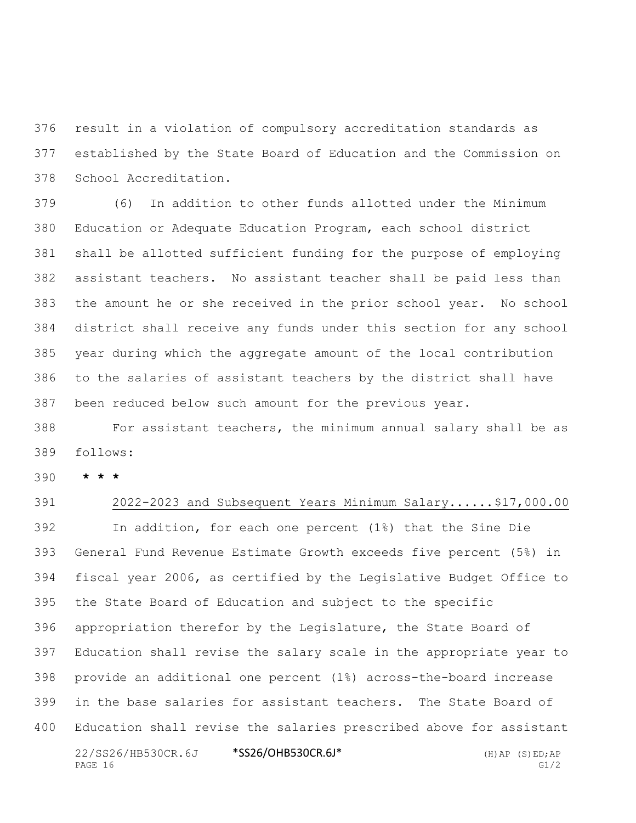result in a violation of compulsory accreditation standards as established by the State Board of Education and the Commission on School Accreditation.

 (6) In addition to other funds allotted under the Minimum Education or Adequate Education Program, each school district shall be allotted sufficient funding for the purpose of employing assistant teachers. No assistant teacher shall be paid less than the amount he or she received in the prior school year. No school district shall receive any funds under this section for any school year during which the aggregate amount of the local contribution to the salaries of assistant teachers by the district shall have been reduced below such amount for the previous year.

 For assistant teachers, the minimum annual salary shall be as follows:

**\* \* \***

22/SS26/HB530CR.6J \*SS26/OHB530CR.6J\* (H)AP (S)ED;AP PAGE 16 G1/2 2022-2023 and Subsequent Years Minimum Salary......\$17,000.00 In addition, for each one percent (1%) that the Sine Die General Fund Revenue Estimate Growth exceeds five percent (5%) in fiscal year 2006, as certified by the Legislative Budget Office to the State Board of Education and subject to the specific appropriation therefor by the Legislature, the State Board of Education shall revise the salary scale in the appropriate year to provide an additional one percent (1%) across-the-board increase in the base salaries for assistant teachers. The State Board of Education shall revise the salaries prescribed above for assistant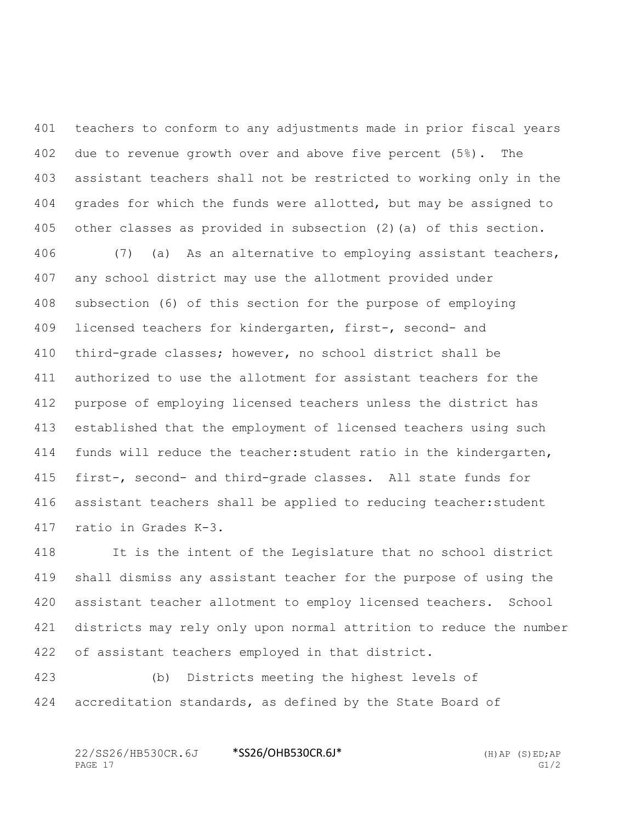teachers to conform to any adjustments made in prior fiscal years due to revenue growth over and above five percent (5%). The assistant teachers shall not be restricted to working only in the grades for which the funds were allotted, but may be assigned to other classes as provided in subsection (2)(a) of this section.

 (7) (a) As an alternative to employing assistant teachers, any school district may use the allotment provided under subsection (6) of this section for the purpose of employing licensed teachers for kindergarten, first-, second- and third-grade classes; however, no school district shall be authorized to use the allotment for assistant teachers for the purpose of employing licensed teachers unless the district has established that the employment of licensed teachers using such 414 funds will reduce the teacher: student ratio in the kindergarten, first-, second- and third-grade classes. All state funds for assistant teachers shall be applied to reducing teacher:student ratio in Grades K-3.

 It is the intent of the Legislature that no school district shall dismiss any assistant teacher for the purpose of using the assistant teacher allotment to employ licensed teachers. School districts may rely only upon normal attrition to reduce the number of assistant teachers employed in that district.

 (b) Districts meeting the highest levels of accreditation standards, as defined by the State Board of